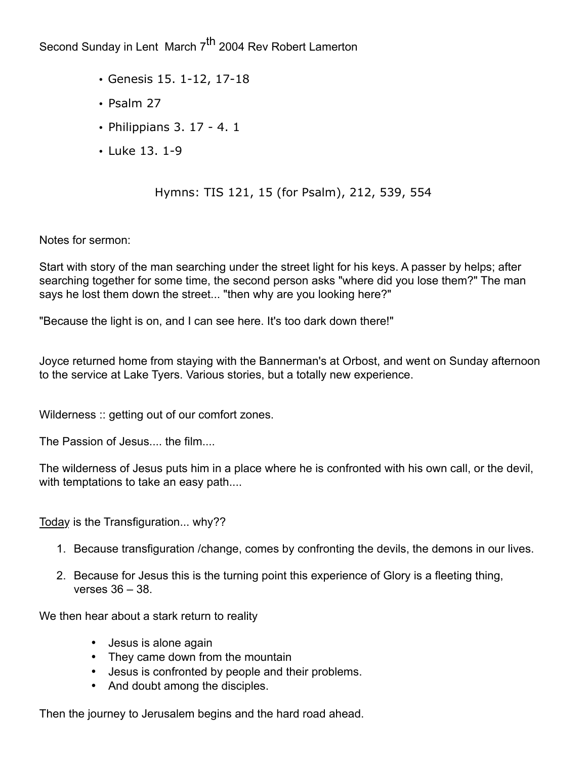Second Sunday in Lent March 7<sup>th</sup> 2004 Rev Robert Lamerton

- Genesis 15. 1-12, 17-18
- Psalm 27
- Philippians 3. 17 4. 1
- Luke 13. 1-9

## Hymns: TIS 121, 15 (for Psalm), 212, 539, 554

Notes for sermon:

Start with story of the man searching under the street light for his keys. A passer by helps; after searching together for some time, the second person asks "where did you lose them?" The man says he lost them down the street... "then why are you looking here?"

"Because the light is on, and I can see here. It's too dark down there!"

Joyce returned home from staying with the Bannerman's at Orbost, and went on Sunday afternoon to the service at Lake Tyers. Various stories, but a totally new experience.

Wilderness :: getting out of our comfort zones.

The Passion of Jesus.... the film....

The wilderness of Jesus puts him in a place where he is confronted with his own call, or the devil, with temptations to take an easy path....

Today is the Transfiguration... why??

- 1. Because transfiguration /change, comes by confronting the devils, the demons in our lives.
- 2. Because for Jesus this is the turning point this experience of Glory is a fleeting thing, verses 36 – 38.

We then hear about a stark return to reality

- Jesus is alone again
- They came down from the mountain
- Jesus is confronted by people and their problems.
- And doubt among the disciples.

Then the journey to Jerusalem begins and the hard road ahead.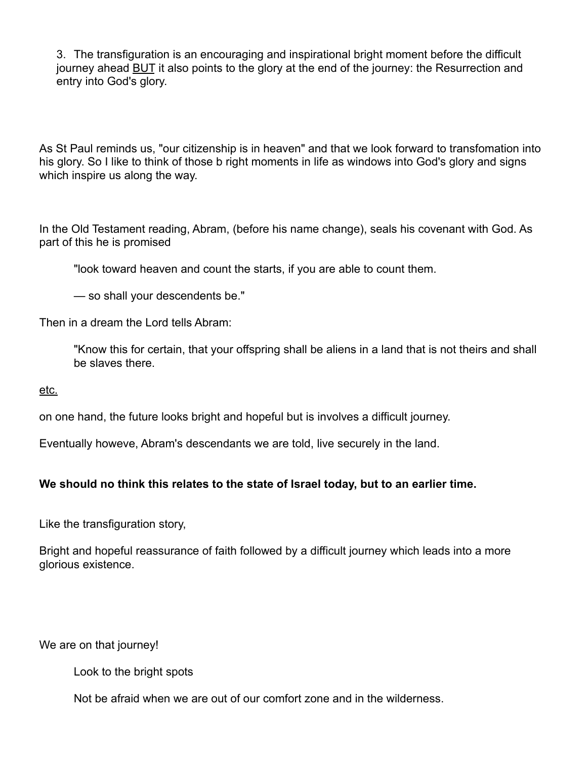3. The transfiguration is an encouraging and inspirational bright moment before the difficult journey ahead **BUT** it also points to the glory at the end of the journey: the Resurrection and entry into God's glory.

As St Paul reminds us, "our citizenship is in heaven" and that we look forward to transfomation into his glory. So I like to think of those b right moments in life as windows into God's glory and signs which inspire us along the way.

In the Old Testament reading, Abram, (before his name change), seals his covenant with God. As part of this he is promised

"look toward heaven and count the starts, if you are able to count them.

— so shall your descendents be."

Then in a dream the Lord tells Abram:

"Know this for certain, that your offspring shall be aliens in a land that is not theirs and shall be slaves there.

etc.

on one hand, the future looks bright and hopeful but is involves a difficult journey.

Eventually howeve, Abram's descendants we are told, live securely in the land.

## **We should no think this relates to the state of Israel today, but to an earlier time.**

Like the transfiguration story,

Bright and hopeful reassurance of faith followed by a difficult journey which leads into a more glorious existence.

We are on that journey!

Look to the bright spots

Not be afraid when we are out of our comfort zone and in the wilderness.